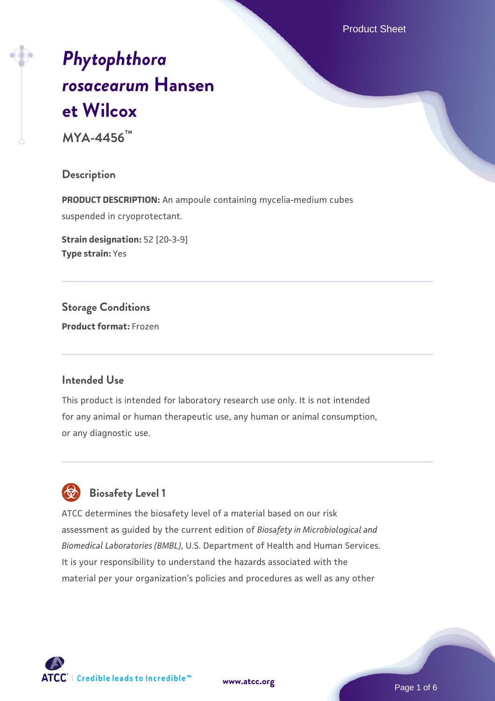Product Sheet

# *[Phytophthora](https://www.atcc.org/products/mya-4456) [rosacearum](https://www.atcc.org/products/mya-4456)* **[Hansen](https://www.atcc.org/products/mya-4456) [et Wilcox](https://www.atcc.org/products/mya-4456)**

**MYA-4456™**

#### **Description**

**PRODUCT DESCRIPTION:** An ampoule containing mycelia-medium cubes suspended in cryoprotectant.

**Strain designation:** 52 [20-3-9] **Type strain:** Yes

**Storage Conditions Product format:** Frozen

#### **Intended Use**

This product is intended for laboratory research use only. It is not intended for any animal or human therapeutic use, any human or animal consumption, or any diagnostic use.



# **Biosafety Level 1**

ATCC determines the biosafety level of a material based on our risk assessment as guided by the current edition of *Biosafety in Microbiological and Biomedical Laboratories (BMBL)*, U.S. Department of Health and Human Services. It is your responsibility to understand the hazards associated with the material per your organization's policies and procedures as well as any other

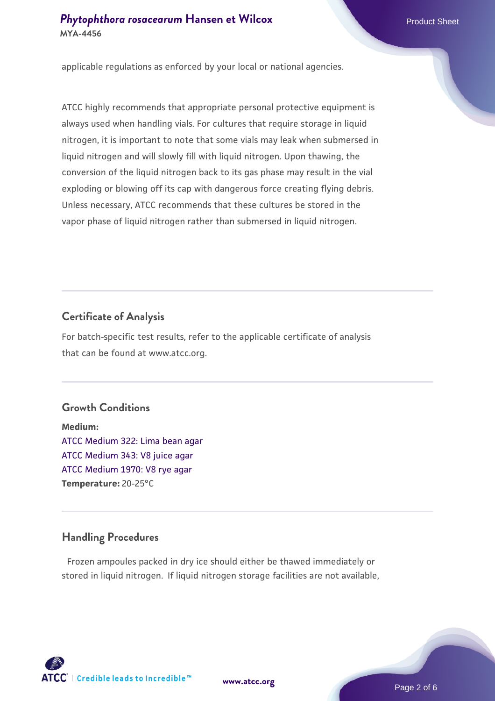applicable regulations as enforced by your local or national agencies.

ATCC highly recommends that appropriate personal protective equipment is always used when handling vials. For cultures that require storage in liquid nitrogen, it is important to note that some vials may leak when submersed in liquid nitrogen and will slowly fill with liquid nitrogen. Upon thawing, the conversion of the liquid nitrogen back to its gas phase may result in the vial exploding or blowing off its cap with dangerous force creating flying debris. Unless necessary, ATCC recommends that these cultures be stored in the vapor phase of liquid nitrogen rather than submersed in liquid nitrogen.

### **Certificate of Analysis**

For batch-specific test results, refer to the applicable certificate of analysis that can be found at www.atcc.org.

### **Growth Conditions**

**Medium:**  [ATCC Medium 322: Lima bean agar](https://www.atcc.org/-/media/product-assets/documents/microbial-media-formulations/3/2/2/atcc-medium-322.pdf?rev=c721501b1813479eb75226009d0a5f5d) [ATCC Medium 343: V8 juice agar](https://www.atcc.org/-/media/product-assets/documents/microbial-media-formulations/3/4/3/atcc-medium-0343.pdf?rev=fbf48fa24e664932828269db1822ab12) [ATCC Medium 1970: V8 rye agar](https://www.atcc.org/-/media/product-assets/documents/microbial-media-formulations/1/9/7/0/atcc-medium-1970.pdf?rev=15f514f07c9c40e39727ea5d13675bad) **Temperature:** 20-25°C

### **Handling Procedures**

Frozen ampoules packed in dry ice should either be thawed immediately or stored in liquid nitrogen. If liquid nitrogen storage facilities are not available,

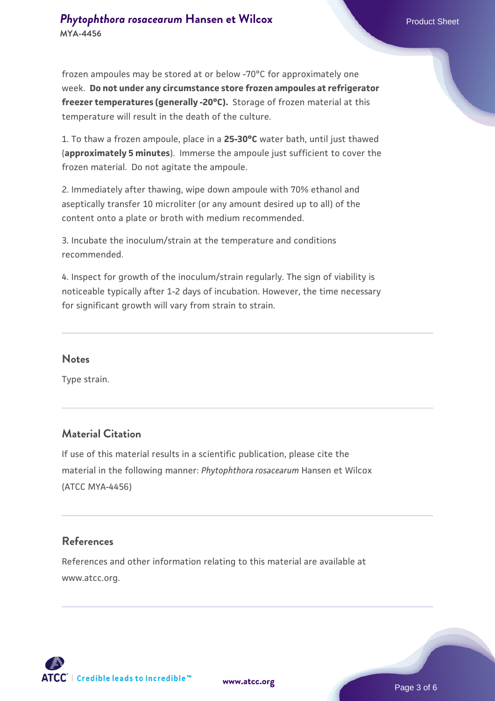frozen ampoules may be stored at or below -70°C for approximately one week. **Do not under any circumstance store frozen ampoules at refrigerator freezer temperatures (generally -20°C).** Storage of frozen material at this temperature will result in the death of the culture.

1. To thaw a frozen ampoule, place in a **25-30°C** water bath, until just thawed (**approximately 5 minutes**). Immerse the ampoule just sufficient to cover the frozen material. Do not agitate the ampoule.

2. Immediately after thawing, wipe down ampoule with 70% ethanol and aseptically transfer 10 microliter (or any amount desired up to all) of the content onto a plate or broth with medium recommended.

3. Incubate the inoculum/strain at the temperature and conditions recommended.

4. Inspect for growth of the inoculum/strain regularly. The sign of viability is noticeable typically after 1-2 days of incubation. However, the time necessary for significant growth will vary from strain to strain.

#### **Notes**

Type strain.

#### **Material Citation**

If use of this material results in a scientific publication, please cite the material in the following manner: *Phytophthora rosacearum* Hansen et Wilcox (ATCC MYA-4456)

#### **References**

References and other information relating to this material are available at www.atcc.org.

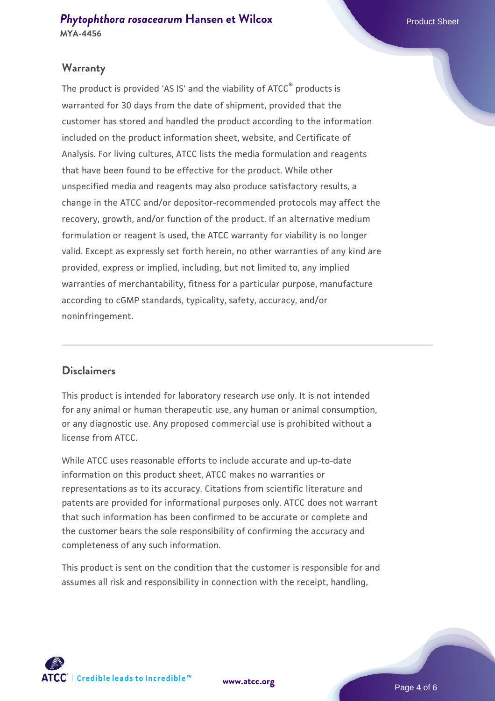#### **Warranty**

The product is provided 'AS IS' and the viability of ATCC® products is warranted for 30 days from the date of shipment, provided that the customer has stored and handled the product according to the information included on the product information sheet, website, and Certificate of Analysis. For living cultures, ATCC lists the media formulation and reagents that have been found to be effective for the product. While other unspecified media and reagents may also produce satisfactory results, a change in the ATCC and/or depositor-recommended protocols may affect the recovery, growth, and/or function of the product. If an alternative medium formulation or reagent is used, the ATCC warranty for viability is no longer valid. Except as expressly set forth herein, no other warranties of any kind are provided, express or implied, including, but not limited to, any implied warranties of merchantability, fitness for a particular purpose, manufacture according to cGMP standards, typicality, safety, accuracy, and/or noninfringement.

#### **Disclaimers**

This product is intended for laboratory research use only. It is not intended for any animal or human therapeutic use, any human or animal consumption, or any diagnostic use. Any proposed commercial use is prohibited without a license from ATCC.

While ATCC uses reasonable efforts to include accurate and up-to-date information on this product sheet, ATCC makes no warranties or representations as to its accuracy. Citations from scientific literature and patents are provided for informational purposes only. ATCC does not warrant that such information has been confirmed to be accurate or complete and the customer bears the sole responsibility of confirming the accuracy and completeness of any such information.

This product is sent on the condition that the customer is responsible for and assumes all risk and responsibility in connection with the receipt, handling,



**[www.atcc.org](http://www.atcc.org)**

Page 4 of 6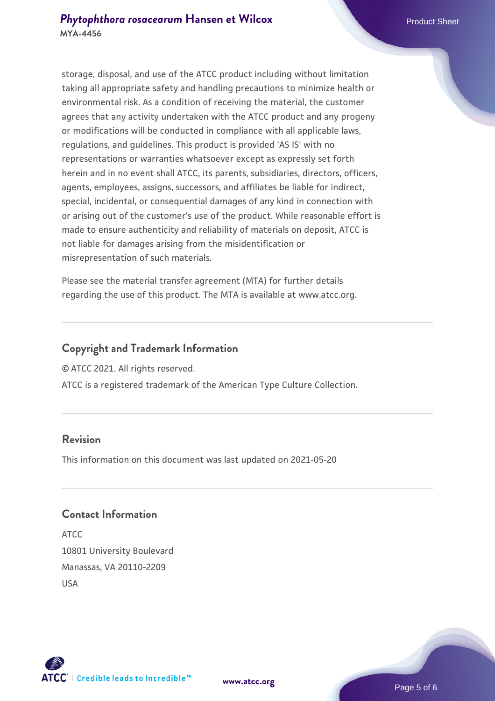storage, disposal, and use of the ATCC product including without limitation taking all appropriate safety and handling precautions to minimize health or environmental risk. As a condition of receiving the material, the customer agrees that any activity undertaken with the ATCC product and any progeny or modifications will be conducted in compliance with all applicable laws, regulations, and guidelines. This product is provided 'AS IS' with no representations or warranties whatsoever except as expressly set forth herein and in no event shall ATCC, its parents, subsidiaries, directors, officers, agents, employees, assigns, successors, and affiliates be liable for indirect, special, incidental, or consequential damages of any kind in connection with or arising out of the customer's use of the product. While reasonable effort is made to ensure authenticity and reliability of materials on deposit, ATCC is not liable for damages arising from the misidentification or misrepresentation of such materials.

Please see the material transfer agreement (MTA) for further details regarding the use of this product. The MTA is available at www.atcc.org.

#### **Copyright and Trademark Information**

© ATCC 2021. All rights reserved.

ATCC is a registered trademark of the American Type Culture Collection.

#### **Revision**

This information on this document was last updated on 2021-05-20

#### **Contact Information**

ATCC 10801 University Boulevard Manassas, VA 20110-2209 USA